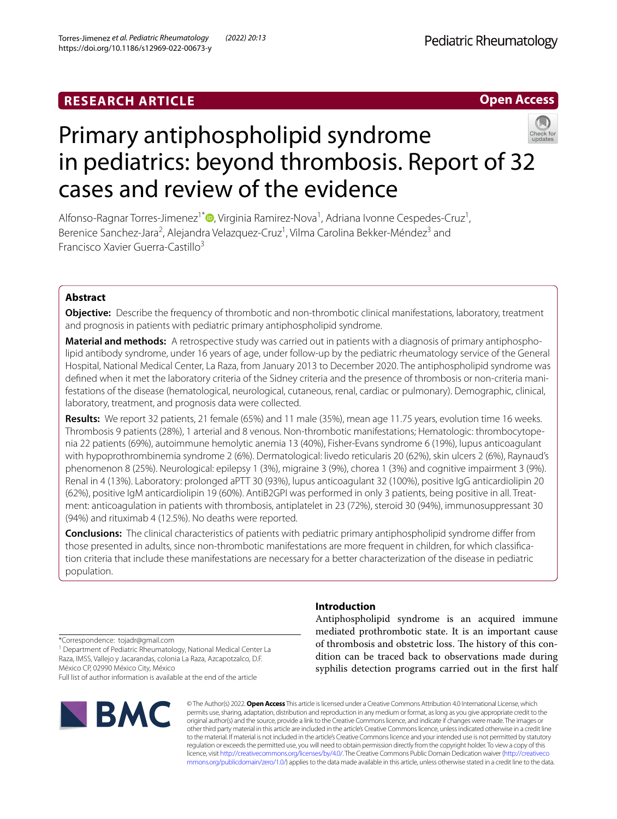# **RESEARCH ARTICLE**

# **Open Access**



# Primary antiphospholipid syndrome in pediatrics: beyond thrombosis. Report of 32 cases and review of the evidence

Alfonso-Ragnar Torres-Jimenez<sup>1\*</sup><sup>®</sup>[,](http://orcid.org/0000-0003-1070-5875) Virginia Ramirez-Nova<sup>1</sup>, Adriana Ivonne Cespedes-Cruz<sup>1</sup>, Berenice Sanchez-Jara<sup>2</sup>, Alejandra Velazquez-Cruz<sup>1</sup>, Vilma Carolina Bekker-Méndez<sup>3</sup> and Francisco Xavier Guerra‑Castillo3

# **Abstract**

**Objective:** Describe the frequency of thrombotic and non-thrombotic clinical manifestations, laboratory, treatment and prognosis in patients with pediatric primary antiphospholipid syndrome.

**Material and methods:** A retrospective study was carried out in patients with a diagnosis of primary antiphospholipid antibody syndrome, under 16 years of age, under follow-up by the pediatric rheumatology service of the General Hospital, National Medical Center, La Raza, from January 2013 to December 2020. The antiphospholipid syndrome was defined when it met the laboratory criteria of the Sidney criteria and the presence of thrombosis or non-criteria manifestations of the disease (hematological, neurological, cutaneous, renal, cardiac or pulmonary). Demographic, clinical, laboratory, treatment, and prognosis data were collected.

**Results:** We report 32 patients, 21 female (65%) and 11 male (35%), mean age 11.75 years, evolution time 16 weeks. Thrombosis 9 patients (28%), 1 arterial and 8 venous. Non-thrombotic manifestations; Hematologic: thrombocytope‑ nia 22 patients (69%), autoimmune hemolytic anemia 13 (40%), Fisher-Evans syndrome 6 (19%), lupus anticoagulant with hypoprothrombinemia syndrome 2 (6%). Dermatological: livedo reticularis 20 (62%), skin ulcers 2 (6%), Raynaud's phenomenon 8 (25%). Neurological: epilepsy 1 (3%), migraine 3 (9%), chorea 1 (3%) and cognitive impairment 3 (9%). Renal in 4 (13%). Laboratory: prolonged aPTT 30 (93%), lupus anticoagulant 32 (100%), positive IgG anticardiolipin 20 (62%), positive IgM anticardiolipin 19 (60%). AntiB2GPI was performed in only 3 patients, being positive in all. Treat‑ ment: anticoagulation in patients with thrombosis, antiplatelet in 23 (72%), steroid 30 (94%), immunosuppressant 30 (94%) and rituximab 4 (12.5%). No deaths were reported.

**Conclusions:** The clinical characteristics of patients with pediatric primary antiphospholipid syndrome difer from those presented in adults, since non-thrombotic manifestations are more frequent in children, for which classification criteria that include these manifestations are necessary for a better characterization of the disease in pediatric population.

# **Introduction**

Antiphospholipid syndrome is an acquired immune mediated prothrombotic state. It is an important cause of thrombosis and obstetric loss. The history of this condition can be traced back to observations made during syphilis detection programs carried out in the first half

\*Correspondence: tojadr@gmail.com

<sup>1</sup> Department of Pediatric Rheumatology, National Medical Center La Raza, IMSS, Vallejo y Jacarandas, colonia La Raza, Azcapotzalco, D.F. México CP, 02990 México City, México Full list of author information is available at the end of the article



© The Author(s) 2022. **Open Access** This article is licensed under a Creative Commons Attribution 4.0 International License, which permits use, sharing, adaptation, distribution and reproduction in any medium or format, as long as you give appropriate credit to the original author(s) and the source, provide a link to the Creative Commons licence, and indicate if changes were made. The images or other third party material in this article are included in the article's Creative Commons licence, unless indicated otherwise in a credit line to the material. If material is not included in the article's Creative Commons licence and your intended use is not permitted by statutory regulation or exceeds the permitted use, you will need to obtain permission directly from the copyright holder. To view a copy of this licence, visit [http://creativecommons.org/licenses/by/4.0/.](http://creativecommons.org/licenses/by/4.0/) The Creative Commons Public Domain Dedication waiver ([http://creativeco](http://creativecommons.org/publicdomain/zero/1.0/) [mmons.org/publicdomain/zero/1.0/](http://creativecommons.org/publicdomain/zero/1.0/)) applies to the data made available in this article, unless otherwise stated in a credit line to the data.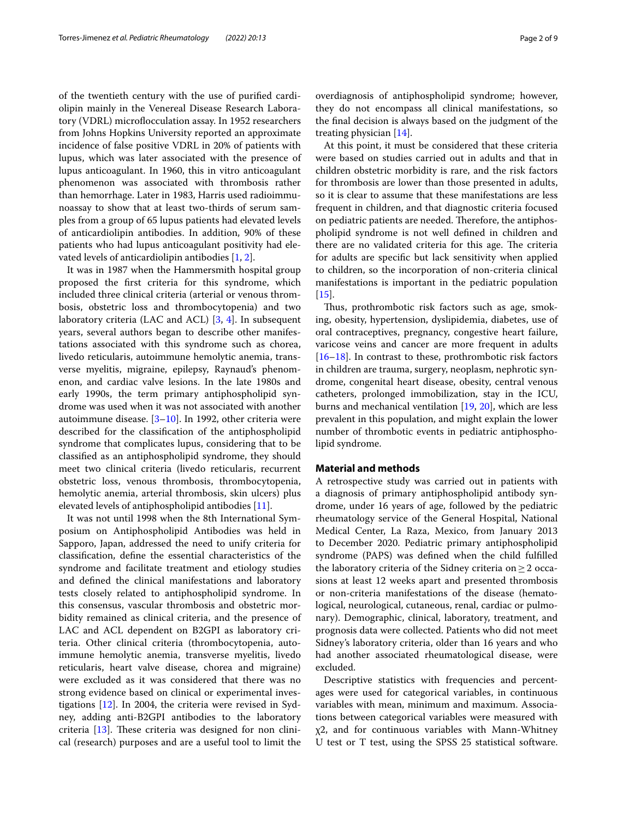of the twentieth century with the use of purifed cardiolipin mainly in the Venereal Disease Research Laboratory (VDRL) microflocculation assay. In 1952 researchers from Johns Hopkins University reported an approximate incidence of false positive VDRL in 20% of patients with lupus, which was later associated with the presence of lupus anticoagulant. In 1960, this in vitro anticoagulant phenomenon was associated with thrombosis rather than hemorrhage. Later in 1983, Harris used radioimmunoassay to show that at least two-thirds of serum samples from a group of 65 lupus patients had elevated levels of anticardiolipin antibodies. In addition, 90% of these patients who had lupus anticoagulant positivity had elevated levels of anticardiolipin antibodies [[1,](#page-6-0) [2\]](#page-6-1).

It was in 1987 when the Hammersmith hospital group proposed the frst criteria for this syndrome, which included three clinical criteria (arterial or venous thrombosis, obstetric loss and thrombocytopenia) and two laboratory criteria (LAC and ACL) [\[3](#page-6-2), [4\]](#page-6-3). In subsequent years, several authors began to describe other manifestations associated with this syndrome such as chorea, livedo reticularis, autoimmune hemolytic anemia, transverse myelitis, migraine, epilepsy, Raynaud's phenomenon, and cardiac valve lesions. In the late 1980s and early 1990s, the term primary antiphospholipid syndrome was used when it was not associated with another autoimmune disease. [\[3](#page-6-2)–[10\]](#page-6-4). In 1992, other criteria were described for the classifcation of the antiphospholipid syndrome that complicates lupus, considering that to be classifed as an antiphospholipid syndrome, they should meet two clinical criteria (livedo reticularis, recurrent obstetric loss, venous thrombosis, thrombocytopenia, hemolytic anemia, arterial thrombosis, skin ulcers) plus elevated levels of antiphospholipid antibodies [[11\]](#page-7-0).

It was not until 1998 when the 8th International Symposium on Antiphospholipid Antibodies was held in Sapporo, Japan, addressed the need to unify criteria for classifcation, defne the essential characteristics of the syndrome and facilitate treatment and etiology studies and defned the clinical manifestations and laboratory tests closely related to antiphospholipid syndrome. In this consensus, vascular thrombosis and obstetric morbidity remained as clinical criteria, and the presence of LAC and ACL dependent on B2GPI as laboratory criteria. Other clinical criteria (thrombocytopenia, autoimmune hemolytic anemia, transverse myelitis, livedo reticularis, heart valve disease, chorea and migraine) were excluded as it was considered that there was no strong evidence based on clinical or experimental investigations [[12\]](#page-7-1). In 2004, the criteria were revised in Sydney, adding anti-B2GPI antibodies to the laboratory criteria  $[13]$  $[13]$ . These criteria was designed for non clinical (research) purposes and are a useful tool to limit the overdiagnosis of antiphospholipid syndrome; however, they do not encompass all clinical manifestations, so the fnal decision is always based on the judgment of the treating physician [\[14\]](#page-7-3).

At this point, it must be considered that these criteria were based on studies carried out in adults and that in children obstetric morbidity is rare, and the risk factors for thrombosis are lower than those presented in adults, so it is clear to assume that these manifestations are less frequent in children, and that diagnostic criteria focused on pediatric patients are needed. Therefore, the antiphospholipid syndrome is not well defned in children and there are no validated criteria for this age. The criteria for adults are specifc but lack sensitivity when applied to children, so the incorporation of non-criteria clinical manifestations is important in the pediatric population  $[15]$  $[15]$ .

Thus, prothrombotic risk factors such as age, smoking, obesity, hypertension, dyslipidemia, diabetes, use of oral contraceptives, pregnancy, congestive heart failure, varicose veins and cancer are more frequent in adults [[16–](#page-7-5)[18\]](#page-7-6). In contrast to these, prothrombotic risk factors in children are trauma, surgery, neoplasm, nephrotic syndrome, congenital heart disease, obesity, central venous catheters, prolonged immobilization, stay in the ICU, burns and mechanical ventilation [\[19,](#page-7-7) [20\]](#page-7-8), which are less prevalent in this population, and might explain the lower number of thrombotic events in pediatric antiphospholipid syndrome.

# **Material and methods**

A retrospective study was carried out in patients with a diagnosis of primary antiphospholipid antibody syndrome, under 16 years of age, followed by the pediatric rheumatology service of the General Hospital, National Medical Center, La Raza, Mexico, from January 2013 to December 2020. Pediatric primary antiphospholipid syndrome (PAPS) was defned when the child fulflled the laboratory criteria of the Sidney criteria on  $\geq 2$  occasions at least 12 weeks apart and presented thrombosis or non-criteria manifestations of the disease (hematological, neurological, cutaneous, renal, cardiac or pulmonary). Demographic, clinical, laboratory, treatment, and prognosis data were collected. Patients who did not meet Sidney's laboratory criteria, older than 16 years and who had another associated rheumatological disease, were excluded.

Descriptive statistics with frequencies and percentages were used for categorical variables, in continuous variables with mean, minimum and maximum. Associations between categorical variables were measured with χ2, and for continuous variables with Mann-Whitney U test or T test, using the SPSS 25 statistical software.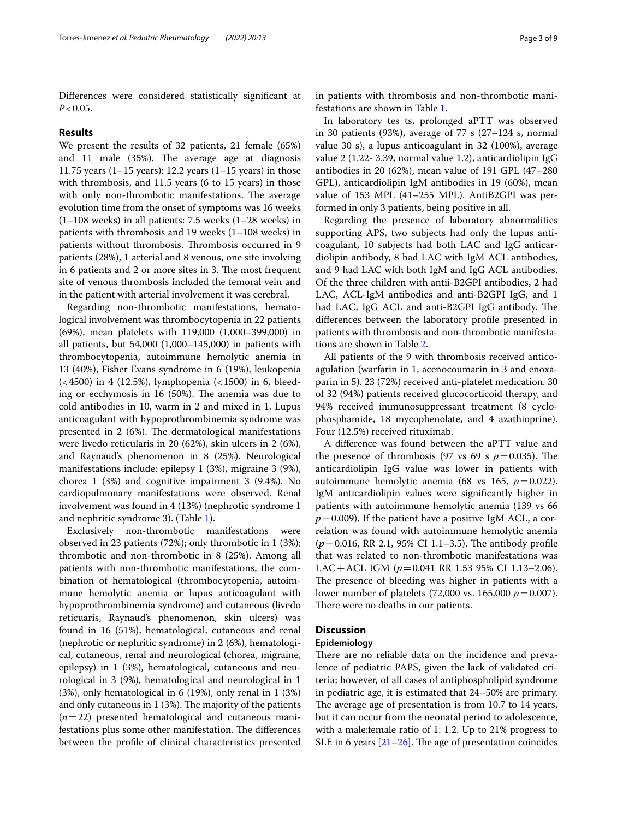Diferences were considered statistically signifcant at  $P < 0.05$ .

## **Results**

We present the results of 32 patients, 21 female (65%) and 11 male (35%). The average age at diagnosis 11.75 years  $(1-15 \text{ years})$ : 12.2 years  $(1-15 \text{ years})$  in those with thrombosis, and 11.5 years (6 to 15 years) in those with only non-thrombotic manifestations. The average evolution time from the onset of symptoms was 16 weeks (1–108 weeks) in all patients: 7.5 weeks (1–28 weeks) in patients with thrombosis and 19 weeks (1–108 weeks) in patients without thrombosis. Thrombosis occurred in 9 patients (28%), 1 arterial and 8 venous, one site involving in 6 patients and 2 or more sites in 3. The most frequent site of venous thrombosis included the femoral vein and in the patient with arterial involvement it was cerebral.

Regarding non-thrombotic manifestations, hematological involvement was thrombocytopenia in 22 patients (69%), mean platelets with 119,000 (1,000–399,000) in all patients, but 54,000 (1,000–145,000) in patients with thrombocytopenia, autoimmune hemolytic anemia in 13 (40%), Fisher Evans syndrome in 6 (19%), leukopenia  $(< 4500$ ) in 4 (12.5%), lymphopenia  $(< 1500$ ) in 6, bleeding or ecchymosis in 16 (50%). The anemia was due to cold antibodies in 10, warm in 2 and mixed in 1. Lupus anticoagulant with hypoprothrombinemia syndrome was presented in  $2(6%)$ . The dermatological manifestations were livedo reticularis in 20 (62%), skin ulcers in 2 (6%), and Raynaud's phenomenon in 8 (25%). Neurological manifestations include: epilepsy 1 (3%), migraine 3 (9%), chorea 1 (3%) and cognitive impairment 3 (9.4%). No cardiopulmonary manifestations were observed. Renal involvement was found in 4 (13%) (nephrotic syndrome 1 and nephritic syndrome 3). (Table [1](#page-3-0)).

Exclusively non-thrombotic manifestations were observed in 23 patients (72%); only thrombotic in 1 (3%); thrombotic and non-thrombotic in 8 (25%). Among all patients with non-thrombotic manifestations, the combination of hematological (thrombocytopenia, autoimmune hemolytic anemia or lupus anticoagulant with hypoprothrombinemia syndrome) and cutaneous (livedo reticuaris, Raynaud's phenomenon, skin ulcers) was found in 16 (51%), hematological, cutaneous and renal (nephrotic or nephritic syndrome) in 2 (6%), hematological, cutaneous, renal and neurological (chorea, migraine, epilepsy) in 1 (3%), hematological, cutaneous and neurological in 3 (9%), hematological and neurological in 1 (3%), only hematological in 6 (19%), only renal in 1 (3%) and only cutaneous in  $1$  (3%). The majority of the patients (*n*=22) presented hematological and cutaneous manifestations plus some other manifestation. The differences between the profle of clinical characteristics presented in patients with thrombosis and non-thrombotic manifestations are shown in Table [1](#page-3-0).

In laboratory tes ts, prolonged aPTT was observed in 30 patients (93%), average of 77 s (27–124 s, normal value 30 s), a lupus anticoagulant in 32 (100%), average value 2 (1.22- 3.39, normal value 1.2), anticardiolipin IgG antibodies in 20 (62%), mean value of 191 GPL (47–280 GPL), anticardiolipin IgM antibodies in 19 (60%), mean value of 153 MPL (41–255 MPL). AntiB2GPI was performed in only 3 patients, being positive in all.

Regarding the presence of laboratory abnormalities supporting APS, two subjects had only the lupus anticoagulant, 10 subjects had both LAC and IgG anticardiolipin antibody, 8 had LAC with IgM ACL antibodies, and 9 had LAC with both IgM and IgG ACL antibodies. Of the three children with antii-B2GPI antibodies, 2 had LAC, ACL-IgM antibodies and anti-B2GPI IgG, and 1 had LAC, IgG ACL and anti-B2GPI IgG antibody. The diferences between the laboratory profle presented in patients with thrombosis and non-thrombotic manifestations are shown in Table [2](#page-4-0).

All patients of the 9 with thrombosis received anticoagulation (warfarin in 1, acenocoumarin in 3 and enoxaparin in 5). 23 (72%) received anti-platelet medication. 30 of 32 (94%) patients received glucocorticoid therapy, and 94% received immunosuppressant treatment (8 cyclophosphamide, 18 mycophenolate, and 4 azathioprine). Four (12.5%) received rituximab.

A diference was found between the aPTT value and the presence of thrombosis (97 vs 69 s  $p=0.035$ ). The anticardiolipin IgG value was lower in patients with autoimmune hemolytic anemia (68 vs 165,  $p=0.022$ ). IgM anticardiolipin values were signifcantly higher in patients with autoimmune hemolytic anemia (139 vs 66  $p=0.009$ ). If the patient have a positive IgM ACL, a correlation was found with autoimmune hemolytic anemia  $(p=0.016, \text{ RR } 2.1, 95\% \text{ CI } 1.1-3.5)$ . The antibody profile that was related to non-thrombotic manifestations was LAC+ACL IGM (*p*=0.041 RR 1.53 95% CI 1.13–2.06). The presence of bleeding was higher in patients with a lower number of platelets (72,000 vs. 165,000 *p*=0.007). There were no deaths in our patients.

# **Discussion**

## **Epidemiology**

There are no reliable data on the incidence and prevalence of pediatric PAPS, given the lack of validated criteria; however, of all cases of antiphospholipid syndrome in pediatric age, it is estimated that 24–50% are primary. The average age of presentation is from 10.7 to 14 years, but it can occur from the neonatal period to adolescence, with a male:female ratio of 1: 1.2. Up to 21% progress to SLE in 6 years  $[21–26]$  $[21–26]$  $[21–26]$ . The age of presentation coincides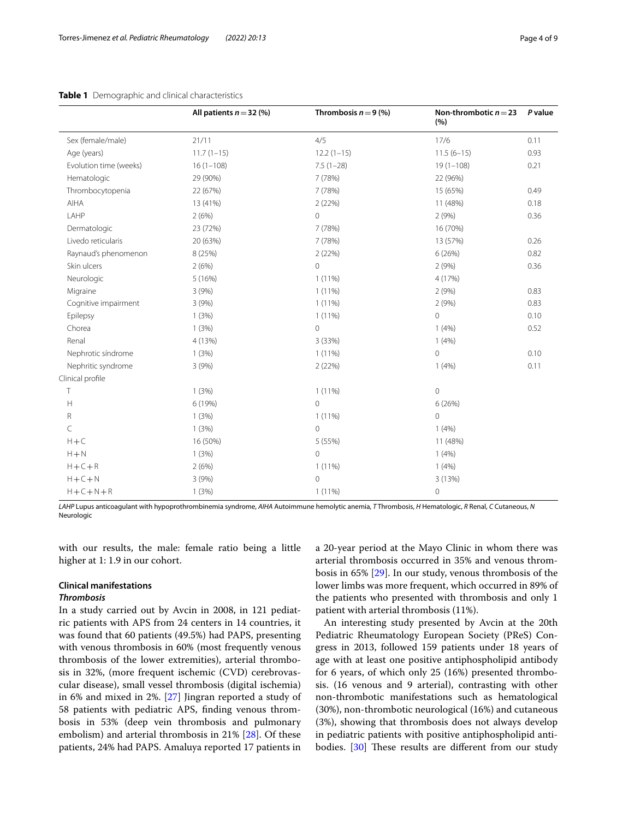|                        | All patients $n = 32$ (%) | Thrombosis $n = 9$ (%) | Non-thrombotic $n = 23$<br>(%) | P value |
|------------------------|---------------------------|------------------------|--------------------------------|---------|
| Sex (female/male)      | 21/11                     | 4/5                    | 17/6                           | 0.11    |
| Age (years)            | $11.7(1-15)$              | $12.2(1-15)$           | $11.5(6-15)$                   | 0.93    |
| Evolution time (weeks) | $16(1-108)$               | $7.5(1-28)$            | $19(1 - 108)$                  | 0.21    |
| Hematologic            | 29 (90%)                  | 7 (78%)                | 22 (96%)                       |         |
| Thrombocytopenia       | 22 (67%)                  | 7 (78%)                | 15 (65%)                       | 0.49    |
| AIHA                   | 13 (41%)                  | 2(22%)                 | 11 (48%)                       | 0.18    |
| LAHP                   | 2(6%)                     | $\overline{0}$         | 2(9%)                          | 0.36    |
| Dermatologic           | 23 (72%)                  | 7 (78%)                | 16 (70%)                       |         |
| Livedo reticularis     | 20 (63%)                  | 7 (78%)                | 13 (57%)                       | 0.26    |
| Raynaud's phenomenon   | 8 (25%)                   | 2(22%)                 | 6(26%)                         | 0.82    |
| Skin ulcers            | 2(6%)                     | $\circ$                | 2(9%)                          | 0.36    |
| Neurologic             | 5(16%)                    | $1(11\%)$              | 4 (17%)                        |         |
| Migraine               | 3(9%)                     | $1(11\%)$              | 2(9%)                          | 0.83    |
| Cognitive impairment   | 3(9%)                     | $1(11\%)$              | 2(9%)                          | 0.83    |
| Epilepsy               | 1(3%)                     | $1(11\%)$              | $\mathbf 0$                    | 0.10    |
| Chorea                 | 1(3%)                     | $\mathbf{0}$           | 1(4%)                          | 0.52    |
| Renal                  | 4 (13%)                   | 3 (33%)                | 1(4%)                          |         |
| Nephrotic síndrome     | 1(3%)                     | $1(11\%)$              | $\mathbf 0$                    | 0.10    |
| Nephritic syndrome     | 3(9%)                     | 2 (22%)                | 1(4%)                          | 0.11    |
| Clinical profile       |                           |                        |                                |         |
| T                      | 1(3%)                     | $1(11\%)$              | $\mathbf 0$                    |         |
| H                      | 6 (19%)                   | $\overline{0}$         | 6(26%)                         |         |
| R                      | 1(3%)                     | $1(11\%)$              | $\overline{0}$                 |         |
| C                      | 1(3%)                     | $\overline{0}$         | 1(4%)                          |         |
| $H + C$                | 16 (50%)                  | 5 (55%)                | 11 (48%)                       |         |
| $H + N$                | 1(3%)                     | $\overline{0}$         | 1(4%)                          |         |
| $H + C + R$            | 2(6%)                     | 1 (11%)                | 1(4%)                          |         |
| $H + C + N$            | 3(9%)                     | $\mathbf{0}$           | 3 (13%)                        |         |
| $H + C + N + R$        | 1(3%)                     | $1(11\%)$              | $\mathbf 0$                    |         |

# <span id="page-3-0"></span>**Table 1** Demographic and clinical characteristics

*LAHP* Lupus anticoagulant with hypoprothrombinemia syndrome, *AIHA* Autoimmune hemolytic anemia, *T* Thrombosis, *H* Hematologic, *R* Renal, *C* Cutaneous, *N* Neurologic

with our results, the male: female ratio being a little higher at 1: 1.9 in our cohort.

# **Clinical manifestations**

# *Thrombosis*

In a study carried out by Avcin in 2008, in 121 pediatric patients with APS from 24 centers in 14 countries, it was found that 60 patients (49.5%) had PAPS, presenting with venous thrombosis in 60% (most frequently venous thrombosis of the lower extremities), arterial thrombosis in 32%, (more frequent ischemic (CVD) cerebrovascular disease), small vessel thrombosis (digital ischemia) in 6% and mixed in 2%. [[27\]](#page-7-11) Jingran reported a study of 58 patients with pediatric APS, fnding venous thrombosis in 53% (deep vein thrombosis and pulmonary embolism) and arterial thrombosis in 21% [\[28](#page-7-12)]. Of these patients, 24% had PAPS. Amaluya reported 17 patients in a 20-year period at the Mayo Clinic in whom there was arterial thrombosis occurred in 35% and venous thrombosis in 65% [\[29](#page-7-13)]. In our study, venous thrombosis of the lower limbs was more frequent, which occurred in 89% of the patients who presented with thrombosis and only 1 patient with arterial thrombosis (11%).

An interesting study presented by Avcin at the 20th Pediatric Rheumatology European Society (PReS) Congress in 2013, followed 159 patients under 18 years of age with at least one positive antiphospholipid antibody for 6 years, of which only 25 (16%) presented thrombosis. (16 venous and 9 arterial), contrasting with other non-thrombotic manifestations such as hematological (30%), non-thrombotic neurological (16%) and cutaneous (3%), showing that thrombosis does not always develop in pediatric patients with positive antiphospholipid anti-bodies. [\[30](#page-7-14)] These results are different from our study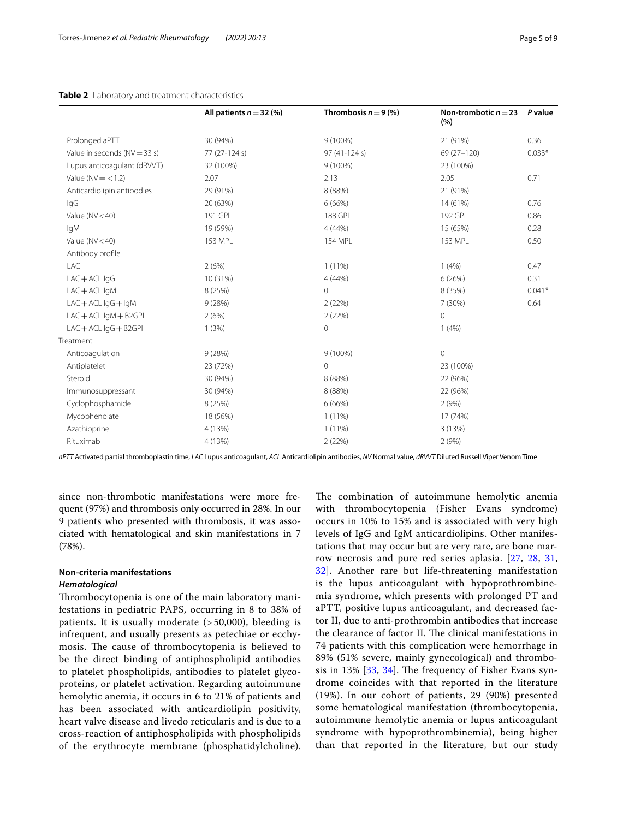# <span id="page-4-0"></span>**Table 2** Laboratory and treatment characteristics

|                                 | All patients $n = 32$ (%) | Thrombosis $n = 9$ (%) | Non-trombotic $n = 23$<br>(%) | P value  |
|---------------------------------|---------------------------|------------------------|-------------------------------|----------|
| Prolonged aPTT                  | 30 (94%)                  | 9 (100%)               | 21 (91%)                      | 0.36     |
| Value in seconds ( $NV = 33$ s) | 77 (27-124 s)             | 97 (41-124 s)          | 69 (27-120)                   | $0.033*$ |
| Lupus anticoagulant (dRVVT)     | 32 (100%)                 | 9 (100%)               | 23 (100%)                     |          |
| Value ( $NV = < 1.2$ )          | 2.07                      | 2.13                   | 2.05                          | 0.71     |
| Anticardiolipin antibodies      | 29 (91%)                  | 8 (88%)                | 21 (91%)                      |          |
| lgG                             | 20 (63%)                  | 6(66%)                 | 14 (61%)                      | 0.76     |
| Value ( $NV < 40$ )             | 191 GPL                   | 188 GPL                | 192 GPL                       | 0.86     |
| lgM                             | 19 (59%)                  | 4(44%)                 | 15 (65%)                      | 0.28     |
| Value ( $NV < 40$ )             | 153 MPL                   | <b>154 MPL</b>         | 153 MPL                       | 0.50     |
| Antibody profile                |                           |                        |                               |          |
| LAC                             | 2(6%)                     | $1(11\%)$              | 1(4%)                         | 0.47     |
| $LAC + ACL$ IgG                 | 10 (31%)                  | 4 (44%)                | 6(26%)                        | 0.31     |
| $LAC + ACL$ IgM                 | 8 (25%)                   | 0                      | 8 (35%)                       | $0.041*$ |
| $LAC + ACL$ IgG $+$ IgM         | 9(28%)                    | 2(22%)                 | 7 (30%)                       | 0.64     |
| $LAC + ACL$ IgM $+ B2GPI$       | 2(6%)                     | 2(22%)                 | $\mathbf 0$                   |          |
| $LAC + ACL$ IgG $+ B2$ GPI      | 1(3%)                     | 0                      | 1(4%)                         |          |
| Treatment                       |                           |                        |                               |          |
| Anticoagulation                 | 9(28%)                    | 9 (100%)               | $\mathbf 0$                   |          |
| Antiplatelet                    | 23 (72%)                  | 0                      | 23 (100%)                     |          |
| Steroid                         | 30 (94%)                  | 8 (88%)                | 22 (96%)                      |          |
| Immunosuppressant               | 30 (94%)                  | 8 (88%)                | 22 (96%)                      |          |
| Cyclophosphamide                | 8 (25%)                   | 6(66%)                 | 2(9%)                         |          |
| Mycophenolate                   | 18 (56%)                  | $1(11\%)$              | 17 (74%)                      |          |
| Azathioprine                    | 4 (13%)                   | $1(11\%)$              | 3 (13%)                       |          |
| Rituximab                       | 4 (13%)                   | 2(22%)                 | 2(9%)                         |          |

*aPTT* Activated partial thromboplastin time, *LAC* Lupus anticoagulant, *ACL* Anticardiolipin antibodies, *NV* Normal value, *dRVVT* Diluted Russell Viper Venom Time

since non-thrombotic manifestations were more frequent (97%) and thrombosis only occurred in 28%. In our 9 patients who presented with thrombosis, it was associated with hematological and skin manifestations in 7 (78%).

# **Non-criteria manifestations** *Hematological*

Thrombocytopenia is one of the main laboratory manifestations in pediatric PAPS, occurring in 8 to 38% of patients. It is usually moderate (> 50,000), bleeding is infrequent, and usually presents as petechiae or ecchymosis. The cause of thrombocytopenia is believed to be the direct binding of antiphospholipid antibodies to platelet phospholipids, antibodies to platelet glycoproteins, or platelet activation. Regarding autoimmune hemolytic anemia, it occurs in 6 to 21% of patients and has been associated with anticardiolipin positivity, heart valve disease and livedo reticularis and is due to a cross-reaction of antiphospholipids with phospholipids of the erythrocyte membrane (phosphatidylcholine).

The combination of autoimmune hemolytic anemia with thrombocytopenia (Fisher Evans syndrome) occurs in 10% to 15% and is associated with very high levels of IgG and IgM anticardiolipins. Other manifestations that may occur but are very rare, are bone marrow necrosis and pure red series aplasia. [[27,](#page-7-11) [28,](#page-7-12) [31](#page-7-15), [32\]](#page-7-16). Another rare but life-threatening manifestation is the lupus anticoagulant with hypoprothrombinemia syndrome, which presents with prolonged PT and aPTT, positive lupus anticoagulant, and decreased factor II, due to anti-prothrombin antibodies that increase the clearance of factor II. The clinical manifestations in 74 patients with this complication were hemorrhage in 89% (51% severe, mainly gynecological) and thrombosis in 13%  $[33, 34]$  $[33, 34]$  $[33, 34]$  $[33, 34]$ . The frequency of Fisher Evans syndrome coincides with that reported in the literature (19%). In our cohort of patients, 29 (90%) presented some hematological manifestation (thrombocytopenia, autoimmune hemolytic anemia or lupus anticoagulant syndrome with hypoprothrombinemia), being higher than that reported in the literature, but our study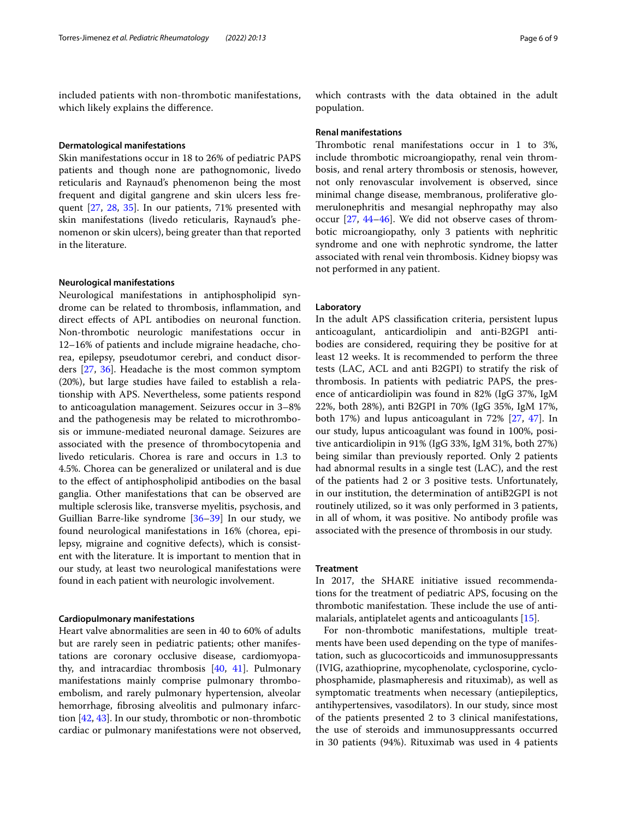included patients with non-thrombotic manifestations, which likely explains the diference.

#### **Dermatological manifestations**

Skin manifestations occur in 18 to 26% of pediatric PAPS patients and though none are pathognomonic, livedo reticularis and Raynaud's phenomenon being the most frequent and digital gangrene and skin ulcers less frequent [\[27](#page-7-11), [28](#page-7-12), [35\]](#page-7-19). In our patients, 71% presented with skin manifestations (livedo reticularis, Raynaud's phenomenon or skin ulcers), being greater than that reported in the literature.

## **Neurological manifestations**

Neurological manifestations in antiphospholipid syndrome can be related to thrombosis, infammation, and direct efects of APL antibodies on neuronal function. Non-thrombotic neurologic manifestations occur in 12–16% of patients and include migraine headache, chorea, epilepsy, pseudotumor cerebri, and conduct disorders [[27,](#page-7-11) [36\]](#page-7-20). Headache is the most common symptom (20%), but large studies have failed to establish a relationship with APS. Nevertheless, some patients respond to anticoagulation management. Seizures occur in 3–8% and the pathogenesis may be related to microthrombosis or immune-mediated neuronal damage. Seizures are associated with the presence of thrombocytopenia and livedo reticularis. Chorea is rare and occurs in 1.3 to 4.5%. Chorea can be generalized or unilateral and is due to the efect of antiphospholipid antibodies on the basal ganglia. Other manifestations that can be observed are multiple sclerosis like, transverse myelitis, psychosis, and Guillian Barre-like syndrome [[36–](#page-7-20)[39](#page-7-21)] In our study, we found neurological manifestations in 16% (chorea, epilepsy, migraine and cognitive defects), which is consistent with the literature. It is important to mention that in our study, at least two neurological manifestations were found in each patient with neurologic involvement.

## **Cardiopulmonary manifestations**

Heart valve abnormalities are seen in 40 to 60% of adults but are rarely seen in pediatric patients; other manifestations are coronary occlusive disease, cardiomyopathy, and intracardiac thrombosis [\[40,](#page-7-22) [41](#page-7-23)]. Pulmonary manifestations mainly comprise pulmonary thromboembolism, and rarely pulmonary hypertension, alveolar hemorrhage, fbrosing alveolitis and pulmonary infarction [[42,](#page-7-24) [43\]](#page-7-25). In our study, thrombotic or non-thrombotic cardiac or pulmonary manifestations were not observed,

which contrasts with the data obtained in the adult population.

#### **Renal manifestations**

Thrombotic renal manifestations occur in 1 to 3%, include thrombotic microangiopathy, renal vein thrombosis, and renal artery thrombosis or stenosis, however, not only renovascular involvement is observed, since minimal change disease, membranous, proliferative glomerulonephritis and mesangial nephropathy may also occur [[27,](#page-7-11) [44](#page-7-26)[–46](#page-8-0)]. We did not observe cases of thrombotic microangiopathy, only 3 patients with nephritic syndrome and one with nephrotic syndrome, the latter associated with renal vein thrombosis. Kidney biopsy was not performed in any patient.

#### **Laboratory**

In the adult APS classifcation criteria, persistent lupus anticoagulant, anticardiolipin and anti-B2GPI antibodies are considered, requiring they be positive for at least 12 weeks. It is recommended to perform the three tests (LAC, ACL and anti B2GPI) to stratify the risk of thrombosis. In patients with pediatric PAPS, the presence of anticardiolipin was found in 82% (IgG 37%, IgM 22%, both 28%), anti B2GPI in 70% (IgG 35%, IgM 17%, both 17%) and lupus anticoagulant in 72% [\[27,](#page-7-11) [47](#page-8-1)]. In our study, lupus anticoagulant was found in 100%, positive anticardiolipin in 91% (IgG 33%, IgM 31%, both 27%) being similar than previously reported. Only 2 patients had abnormal results in a single test (LAC), and the rest of the patients had 2 or 3 positive tests. Unfortunately, in our institution, the determination of antiB2GPI is not routinely utilized, so it was only performed in 3 patients, in all of whom, it was positive. No antibody profle was associated with the presence of thrombosis in our study.

#### **Treatment**

In 2017, the SHARE initiative issued recommendations for the treatment of pediatric APS, focusing on the thrombotic manifestation. These include the use of antimalarials, antiplatelet agents and anticoagulants [[15\]](#page-7-4).

For non-thrombotic manifestations, multiple treatments have been used depending on the type of manifestation, such as glucocorticoids and immunosuppressants (IVIG, azathioprine, mycophenolate, cyclosporine, cyclophosphamide, plasmapheresis and rituximab), as well as symptomatic treatments when necessary (antiepileptics, antihypertensives, vasodilators). In our study, since most of the patients presented 2 to 3 clinical manifestations, the use of steroids and immunosuppressants occurred in 30 patients (94%). Rituximab was used in 4 patients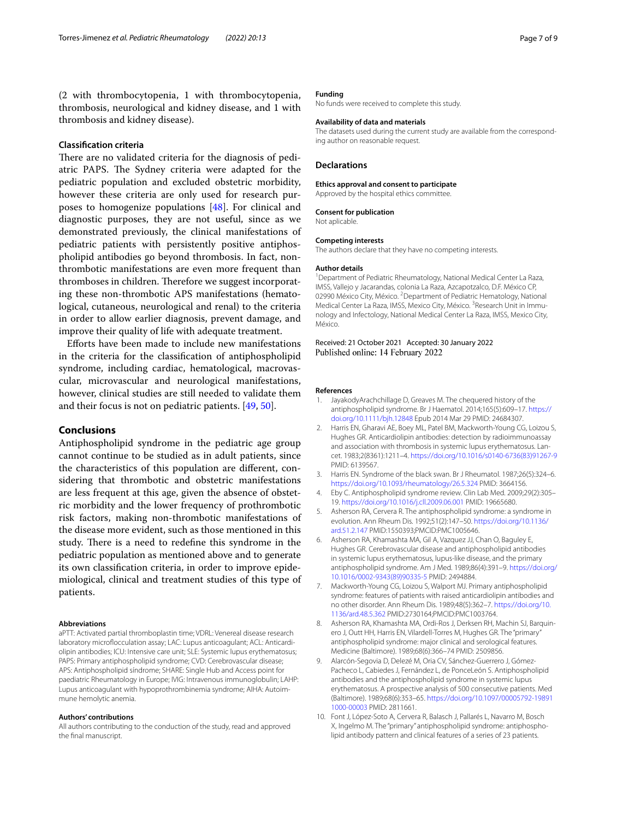(2 with thrombocytopenia, 1 with thrombocytopenia, thrombosis, neurological and kidney disease, and 1 with thrombosis and kidney disease).

# **Classifcation criteria**

There are no validated criteria for the diagnosis of pediatric PAPS. The Sydney criteria were adapted for the pediatric population and excluded obstetric morbidity, however these criteria are only used for research purposes to homogenize populations [\[48](#page-8-2)]. For clinical and diagnostic purposes, they are not useful, since as we demonstrated previously, the clinical manifestations of pediatric patients with persistently positive antiphospholipid antibodies go beyond thrombosis. In fact, nonthrombotic manifestations are even more frequent than thromboses in children. Therefore we suggest incorporating these non-thrombotic APS manifestations (hematological, cutaneous, neurological and renal) to the criteria in order to allow earlier diagnosis, prevent damage, and improve their quality of life with adequate treatment.

Eforts have been made to include new manifestations in the criteria for the classifcation of antiphospholipid syndrome, including cardiac, hematological, macrovascular, microvascular and neurological manifestations, however, clinical studies are still needed to validate them and their focus is not on pediatric patients. [\[49](#page-8-3), [50](#page-8-4)].

## **Conclusions**

Antiphospholipid syndrome in the pediatric age group cannot continue to be studied as in adult patients, since the characteristics of this population are diferent, considering that thrombotic and obstetric manifestations are less frequent at this age, given the absence of obstetric morbidity and the lower frequency of prothrombotic risk factors, making non-thrombotic manifestations of the disease more evident, such as those mentioned in this study. There is a need to redefine this syndrome in the pediatric population as mentioned above and to generate its own classifcation criteria, in order to improve epidemiological, clinical and treatment studies of this type of patients.

#### **Abbreviations**

aPTT: Activated partial thromboplastin time; VDRL: Venereal disease research laboratory microflocculation assay; LAC: Lupus anticoagulant; ACL: Anticardiolipin antibodies; ICU: Intensive care unit; SLE: Systemic lupus erythematosus; PAPS: Primary antiphospholipid syndrome; CVD: Cerebrovascular disease; APS: Antiphospholipid síndrome; SHARE: Single Hub and Access point for paediatric Rheumatology in Europe; IVIG: Intravenous immunoglobulin; LAHP: Lupus anticoagulant with hypoprothrombinemia syndrome; AIHA: Autoimmune hemolytic anemia.

#### **Authors' contributions**

All authors contributing to the conduction of the study, read and approved the fnal manuscript.

## **Funding**

No funds were received to complete this study.

#### **Availability of data and materials**

The datasets used during the current study are available from the corresponding author on reasonable request.

#### **Declarations**

#### **Ethics approval and consent to participate**

Approved by the hospital ethics committee.

#### **Consent for publication**

Not aplicable.

#### **Competing interests**

The authors declare that they have no competing interests.

#### **Author details**

<sup>1</sup> Department of Pediatric Rheumatology, National Medical Center La Raza, IMSS, Vallejo y Jacarandas, colonia La Raza, Azcapotzalco, D.F. México CP, 02990 México City, México. <sup>2</sup> Department of Pediatric Hematology, National Medical Center La Raza, IMSS, Mexico City, México. <sup>3</sup> Research Unit in Immunology and Infectology, National Medical Center La Raza, IMSS, Mexico City, México.

Received: 21 October 2021 Accepted: 30 January 2022 Published online: 14 February 2022

#### **References**

- <span id="page-6-0"></span>1. JayakodyArachchillage D, Greaves M. The chequered history of the antiphospholipid syndrome. Br J Haematol. 2014;165(5):609–17. [https://](https://doi.org/10.1111/bjh.12848) [doi.org/10.1111/bjh.12848](https://doi.org/10.1111/bjh.12848) Epub 2014 Mar 29 PMID: 24684307.
- <span id="page-6-1"></span>2. Harris EN, Gharavi AE, Boey ML, Patel BM, Mackworth-Young CG, Loizou S, Hughes GR. Anticardiolipin antibodies: detection by radioimmunoassay and association with thrombosis in systemic lupus erythematosus. Lancet. 1983;2(8361):1211–4. [https://doi.org/10.1016/s0140-6736\(83\)91267-9](https://doi.org/10.1016/s0140-6736(83)91267-9) PMID: 6139567.
- <span id="page-6-2"></span>3. Harris EN. Syndrome of the black swan. Br J Rheumatol. 1987;26(5):324–6. <https://doi.org/10.1093/rheumatology/26.5.324> PMID: 3664156.
- <span id="page-6-3"></span>4. Eby C. Antiphospholipid syndrome review. Clin Lab Med. 2009;29(2):305– 19. <https://doi.org/10.1016/j.cll.2009.06.001>PMID: 19665680.
- 5. Asherson RA, Cervera R. The antiphospholipid syndrome: a syndrome in evolution. Ann Rheum Dis. 1992;51(2):147–50. [https://doi.org/10.1136/](https://doi.org/10.1136/ard.51.2.147) [ard.51.2.147](https://doi.org/10.1136/ard.51.2.147) PMID:1550393;PMCID:PMC1005646.
- 6. Asherson RA, Khamashta MA, Gil A, Vazquez JJ, Chan O, Baguley E, Hughes GR. Cerebrovascular disease and antiphospholipid antibodies in systemic lupus erythematosus, lupus-like disease, and the primary antiphospholipid syndrome. Am J Med. 1989;86(4):391–9. [https://doi.org/](https://doi.org/10.1016/0002-9343(89)90335-5) [10.1016/0002-9343\(89\)90335-5](https://doi.org/10.1016/0002-9343(89)90335-5) PMID: 2494884.
- 7. Mackworth-Young CG, Loizou S, Walport MJ. Primary antiphospholipid syndrome: features of patients with raised anticardiolipin antibodies and no other disorder. Ann Rheum Dis. 1989;48(5):362–7. [https://doi.org/10.](https://doi.org/10.1136/ard.48.5.362) [1136/ard.48.5.362](https://doi.org/10.1136/ard.48.5.362) PMID:2730164;PMCID:PMC1003764.
- 8. Asherson RA, Khamashta MA, Ordi-Ros J, Derksen RH, Machin SJ, Barquinero J, Outt HH, Harris EN, Vilardell-Torres M, Hughes GR. The "primary" antiphospholipid syndrome: major clinical and serological features. Medicine (Baltimore). 1989;68(6):366–74 PMID: 2509856.
- 9. Alarcón-Segovia D, Delezé M, Oria CV, Sánchez-Guerrero J, Gómez-Pacheco L, Cabiedes J, Fernández L, de PonceLeón S. Antiphospholipid antibodies and the antiphospholipid syndrome in systemic lupus erythematosus. A prospective analysis of 500 consecutive patients. Med (Baltimore). 1989;68(6):353–65. [https://doi.org/10.1097/00005792-19891](https://doi.org/10.1097/00005792-198911000-00003) [1000-00003](https://doi.org/10.1097/00005792-198911000-00003) PMID: 2811661.
- <span id="page-6-4"></span>10. Font J, López-Soto A, Cervera R, Balasch J, Pallarés L, Navarro M, Bosch X, Ingelmo M. The "primary" antiphospholipid syndrome: antiphospholipid antibody pattern and clinical features of a series of 23 patients.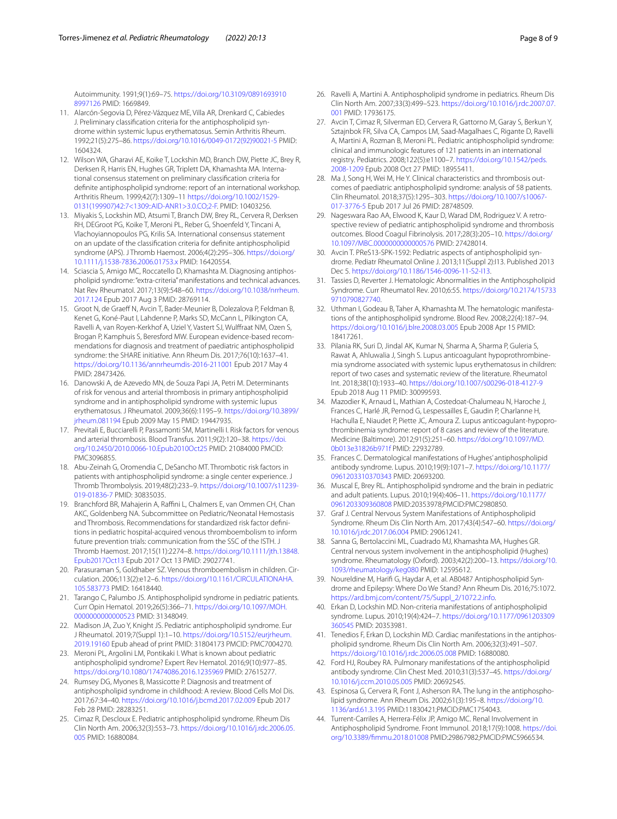Autoimmunity. 1991;9(1):69–75. [https://doi.org/10.3109/0891693910](https://doi.org/10.3109/08916939108997126) [8997126](https://doi.org/10.3109/08916939108997126) PMID: 1669849.

- <span id="page-7-0"></span>11. Alarcón-Segovia D, Pérez-Vázquez ME, Villa AR, Drenkard C, Cabiedes J. Preliminary classification criteria for the antiphospholipid syndrome within systemic lupus erythematosus. Semin Arthritis Rheum. 1992;21(5):275–86. [https://doi.org/10.1016/0049-0172\(92\)90021-5](https://doi.org/10.1016/0049-0172(92)90021-5) PMID: 1604324.
- <span id="page-7-1"></span>12. Wilson WA, Gharavi AE, Koike T, Lockshin MD, Branch DW, Piette JC, Brey R, Derksen R, Harris EN, Hughes GR, Triplett DA, Khamashta MA. International consensus statement on preliminary classifcation criteria for defnite antiphospholipid syndrome: report of an international workshop. Arthritis Rheum. 1999;42(7):1309–11 [https://doi.org/10.1002/1529-](https://doi.org/10.1002/1529-0131(199907)42:7%3c1309::AID-ANR1%3e3.0.CO;2-F) [0131\(199907\)42:7<1309::AID-ANR1>3.0.CO;2-F.](https://doi.org/10.1002/1529-0131(199907)42:7%3c1309::AID-ANR1%3e3.0.CO;2-F) PMID: 10403256.
- <span id="page-7-2"></span>13. Miyakis S, Lockshin MD, Atsumi T, Branch DW, Brey RL, Cervera R, Derksen RH, DEGroot PG, Koike T, Meroni PL, Reber G, Shoenfeld Y, Tincani A, Vlachoyiannopoulos PG, Krilis SA. International consensus statement on an update of the classifcation criteria for defnite antiphospholipid syndrome (APS). J Thromb Haemost. 2006;4(2):295–306. [https://doi.org/](https://doi.org/10.1111/j.1538-7836.2006.01753.x) [10.1111/j.1538-7836.2006.01753.x](https://doi.org/10.1111/j.1538-7836.2006.01753.x) PMID: 16420554.
- <span id="page-7-3"></span>14. Sciascia S, Amigo MC, Roccatello D, Khamashta M. Diagnosing antiphospholipid syndrome: "extra-criteria" manifestations and technical advances. Nat Rev Rheumatol. 2017;13(9):548–60. [https://doi.org/10.1038/nrrheum.](https://doi.org/10.1038/nrrheum.2017.124) [2017.124](https://doi.org/10.1038/nrrheum.2017.124) Epub 2017 Aug 3 PMID: 28769114.
- <span id="page-7-4"></span>15. Groot N, de Graeff N, Avcin T, Bader-Meunier B, Dolezalova P, Feldman B, Kenet G, Koné-Paut I, Lahdenne P, Marks SD, McCann L, Pilkington CA, Ravelli A, van Royen-Kerkhof A, Uziel Y, Vastert SJ, Wulfraat NM, Ozen S, Brogan P, Kamphuis S, Beresford MW. European evidence-based recommendations for diagnosis and treatment of paediatric antiphospholipid syndrome: the SHARE initiative. Ann Rheum Dis. 2017;76(10):1637–41. <https://doi.org/10.1136/annrheumdis-2016-211001>Epub 2017 May 4 PMID: 28473426.
- <span id="page-7-5"></span>16. Danowski A, de Azevedo MN, de Souza Papi JA, Petri M. Determinants of risk for venous and arterial thrombosis in primary antiphospholipid syndrome and in antiphospholipid syndrome with systemic lupus erythematosus. J Rheumatol. 2009;36(6):1195–9. [https://doi.org/10.3899/](https://doi.org/10.3899/jrheum.081194) [jrheum.081194](https://doi.org/10.3899/jrheum.081194) Epub 2009 May 15 PMID: 19447935.
- 17. Previtali E, Bucciarelli P, Passamonti SM, Martinelli I. Risk factors for venous and arterial thrombosis. Blood Transfus. 2011;9(2):120–38. [https://doi.](https://doi.org/10.2450/2010.0066-10.Epub2010Oct25) [org/10.2450/2010.0066-10.Epub2010Oct25](https://doi.org/10.2450/2010.0066-10.Epub2010Oct25) PMID: 21084000 PMCID: PMC3096855.
- <span id="page-7-6"></span>18. Abu-Zeinah G, Oromendia C, DeSancho MT. Thrombotic risk factors in patients with antiphospholipid syndrome: a single center experience. J Thromb Thrombolysis. 2019;48(2):233–9. [https://doi.org/10.1007/s11239-](https://doi.org/10.1007/s11239-019-01836-7) [019-01836-7](https://doi.org/10.1007/s11239-019-01836-7) PMID: 30835035.
- <span id="page-7-7"></span>19. Branchford BR, Mahajerin A, Raffini L, Chalmers E, van Ommen CH, Chan AKC, Goldenberg NA. Subcommittee on Pediatric/Neonatal Hemostasis and Thrombosis. Recommendations for standardized risk factor definitions in pediatric hospital-acquired venous thromboembolism to inform future prevention trials: communication from the SSC of the ISTH. J Thromb Haemost. 2017;15(11):2274–8. [https://doi.org/10.1111/jth.13848.](https://doi.org/10.1111/jth.13848.Epub2017Oct13) [Epub2017Oct13](https://doi.org/10.1111/jth.13848.Epub2017Oct13) Epub 2017 Oct 13 PMID: 29027741.
- <span id="page-7-8"></span>20. Parasuraman S, Goldhaber SZ. Venous thromboembolism in children. Circulation. 2006;113(2):e12–6. [https://doi.org/10.1161/CIRCULATIONAHA.](https://doi.org/10.1161/CIRCULATIONAHA.105.583773) [105.583773](https://doi.org/10.1161/CIRCULATIONAHA.105.583773) PMID: 16418440.
- <span id="page-7-9"></span>21. Tarango C, Palumbo JS. Antiphospholipid syndrome in pediatric patients. Curr Opin Hematol. 2019;26(5):366–71. [https://doi.org/10.1097/MOH.](https://doi.org/10.1097/MOH.0000000000000523) [0000000000000523](https://doi.org/10.1097/MOH.0000000000000523) PMID: 31348049.
- 22. Madison JA, Zuo Y, Knight JS. Pediatric antiphospholipid syndrome. Eur J Rheumatol. 2019;7(Suppl 1):1–10. [https://doi.org/10.5152/eurjrheum.](https://doi.org/10.5152/eurjrheum.2019.19160) [2019.19160](https://doi.org/10.5152/eurjrheum.2019.19160) Epub ahead of print PMID: 31804173 PMCID: PMC7004270.
- 23. Meroni PL, Argolini LM, Pontikaki I. What is known about pediatric antiphospholipid syndrome? Expert Rev Hematol. 2016;9(10):977–85. <https://doi.org/10.1080/17474086.2016.1235969>PMID: 27615277.
- 24. Rumsey DG, Myones B, Massicotte P. Diagnosis and treatment of antiphospholipid syndrome in childhood: A review. Blood Cells Mol Dis. 2017;67:34–40. <https://doi.org/10.1016/j.bcmd.2017.02.009>Epub 2017 Feb 28 PMID: 28283251.
- 25. Cimaz R, Descloux E. Pediatric antiphospholipid syndrome. Rheum Dis Clin North Am. 2006;32(3):553–73. [https://doi.org/10.1016/j.rdc.2006.05.](https://doi.org/10.1016/j.rdc.2006.05.005) [005](https://doi.org/10.1016/j.rdc.2006.05.005) PMID: 16880084.
- <span id="page-7-10"></span>26. Ravelli A, Martini A. Antiphospholipid syndrome in pediatrics. Rheum Dis Clin North Am. 2007;33(3):499–523. [https://doi.org/10.1016/j.rdc.2007.07.](https://doi.org/10.1016/j.rdc.2007.07.001) [001](https://doi.org/10.1016/j.rdc.2007.07.001) PMID: 17936175.
- <span id="page-7-11"></span>27. Avcin T, Cimaz R, Silverman ED, Cervera R, Gattorno M, Garay S, Berkun Y, Sztajnbok FR, Silva CA, Campos LM, Saad-Magalhaes C, Rigante D, Ravelli A, Martini A, Rozman B, Meroni PL. Pediatric antiphospholipid syndrome: clinical and immunologic features of 121 patients in an international registry. Pediatrics. 2008;122(5):e1100–7. [https://doi.org/10.1542/peds.](https://doi.org/10.1542/peds.2008-1209) [2008-1209](https://doi.org/10.1542/peds.2008-1209) Epub 2008 Oct 27 PMID: 18955411.
- <span id="page-7-12"></span>28. Ma J, Song H, Wei M, He Y. Clinical characteristics and thrombosis outcomes of paediatric antiphospholipid syndrome: analysis of 58 patients. Clin Rheumatol. 2018;37(5):1295–303. [https://doi.org/10.1007/s10067-](https://doi.org/10.1007/s10067-017-3776-5) [017-3776-5](https://doi.org/10.1007/s10067-017-3776-5) Epub 2017 Jul 26 PMID: 28748509.
- <span id="page-7-13"></span>29. Nageswara Rao AA, Elwood K, Kaur D, Warad DM, Rodriguez V. A retrospective review of pediatric antiphospholipid syndrome and thrombosis outcomes. Blood Coagul Fibrinolysis. 2017;28(3):205–10. [https://doi.org/](https://doi.org/10.1097/MBC.0000000000000576) [10.1097/MBC.0000000000000576](https://doi.org/10.1097/MBC.0000000000000576) PMID: 27428014.
- <span id="page-7-14"></span>30. Avcin T. PReS13-SPK-1592: Pediatric aspects of antiphospholipid syndrome. Pediatr Rheumatol Online J. 2013;11(Suppl 2):I13. Published 2013 Dec 5. <https://doi.org/10.1186/1546-0096-11-S2-I13>.
- <span id="page-7-15"></span>31. Tassies D, Reverter J. Hematologic Abnormalities in the Antiphospholipid Syndrome. Curr Rheumatol Rev. 2010;6:55. [https://doi.org/10.2174/15733](https://doi.org/10.2174/157339710790827740) [9710790827740](https://doi.org/10.2174/157339710790827740).
- <span id="page-7-16"></span>32. Uthman I, Godeau B, Taher A, Khamashta M. The hematologic manifestations of the antiphospholipid syndrome. Blood Rev. 2008;22(4):187–94. <https://doi.org/10.1016/j.blre.2008.03.005>Epub 2008 Apr 15 PMID: 18417261.
- <span id="page-7-17"></span>33. Pilania RK, Suri D, Jindal AK, Kumar N, Sharma A, Sharma P, Guleria S, Rawat A, Ahluwalia J, Singh S. Lupus anticoagulant hypoprothrombine‑ mia syndrome associated with systemic lupus erythematosus in children: report of two cases and systematic review of the literature. Rheumatol Int. 2018;38(10):1933–40.<https://doi.org/10.1007/s00296-018-4127-9> Epub 2018 Aug 11 PMID: 30099593.
- <span id="page-7-18"></span>34. Mazodier K, Arnaud L, Mathian A, Costedoat-Chalumeau N, Haroche J, Frances C, Harlé JR, Pernod G, Lespessailles E, Gaudin P, Charlanne H, Hachulla E, Niaudet P, Piette JC, Amoura Z. Lupus anticoagulant-hypoprothrombinemia syndrome: report of 8 cases and review of the literature. Medicine (Baltimore). 2012;91(5):251–60. [https://doi.org/10.1097/MD.](https://doi.org/10.1097/MD.0b013e31826b971f) [0b013e31826b971f](https://doi.org/10.1097/MD.0b013e31826b971f) PMID: 22932789.
- <span id="page-7-19"></span>35. Frances C. Dermatological manifestations of Hughes' antiphospholipid antibody syndrome. Lupus. 2010;19(9):1071–7. [https://doi.org/10.1177/](https://doi.org/10.1177/0961203310370343) [0961203310370343](https://doi.org/10.1177/0961203310370343) PMID: 20693200.
- <span id="page-7-20"></span>36. Muscal E, Brey RL. Antiphospholipid syndrome and the brain in pediatric and adult patients. Lupus. 2010;19(4):406–11. [https://doi.org/10.1177/](https://doi.org/10.1177/0961203309360808) [0961203309360808](https://doi.org/10.1177/0961203309360808) PMID:20353978;PMCID:PMC2980850.
- 37. Graf J. Central Nervous System Manifestations of Antiphospholipid Syndrome. Rheum Dis Clin North Am. 2017;43(4):547–60. [https://doi.org/](https://doi.org/10.1016/j.rdc.2017.06.004) [10.1016/j.rdc.2017.06.004](https://doi.org/10.1016/j.rdc.2017.06.004) PMID: 29061241.
- 38. Sanna G, Bertolaccini ML, Cuadrado MJ, Khamashta MA, Hughes GR. Central nervous system involvement in the antiphospholipid (Hughes) syndrome. Rheumatology (Oxford). 2003;42(2):200–13. [https://doi.org/10.](https://doi.org/10.1093/rheumatology/keg080) [1093/rheumatology/keg080](https://doi.org/10.1093/rheumatology/keg080) PMID: 12595612.
- <span id="page-7-21"></span>39. Noureldine M, Harifi G, Haydar A, et al. AB0487 Antiphospholipid Syndrome and Epilepsy: Where Do We Stand? Ann Rheum Dis. 2016;75:1072. [https://ard.bmj.com/content/75/Suppl\\_2/1072.2.info.](https://ard.bmj.com/content/75/Suppl_2/1072.2.info)
- <span id="page-7-22"></span>40. Erkan D, Lockshin MD. Non-criteria manifestations of antiphospholipid syndrome. Lupus. 2010;19(4):424–7. [https://doi.org/10.1177/0961203309](https://doi.org/10.1177/0961203309360545) [360545](https://doi.org/10.1177/0961203309360545) PMID: 20353981.
- <span id="page-7-23"></span>41. Tenedios F, Erkan D, Lockshin MD. Cardiac manifestations in the antiphospholipid syndrome. Rheum Dis Clin North Am. 2006;32(3):491–507. <https://doi.org/10.1016/j.rdc.2006.05.008>PMID: 16880080.
- <span id="page-7-24"></span>42. Ford HJ, Roubey RA. Pulmonary manifestations of the antiphospholipid antibody syndrome. Clin Chest Med. 2010;31(3):537–45. [https://doi.org/](https://doi.org/10.1016/j.ccm.2010.05.005) [10.1016/j.ccm.2010.05.005](https://doi.org/10.1016/j.ccm.2010.05.005) PMID: 20692545.
- <span id="page-7-25"></span>43. Espinosa G, Cervera R, Font J, Asherson RA. The lung in the antiphospholipid syndrome. Ann Rheum Dis. 2002;61(3):195–8. [https://doi.org/10.](https://doi.org/10.1136/ard.61.3.195) [1136/ard.61.3.195](https://doi.org/10.1136/ard.61.3.195) PMID:11830421;PMCID:PMC1754043.
- <span id="page-7-26"></span>44. Turrent-Carriles A, Herrera-Félix JP, Amigo MC. Renal Involvement in Antiphospholipid Syndrome. Front Immunol. 2018;17(9):1008. [https://doi.](https://doi.org/10.3389/fimmu.2018.01008) [org/10.3389/fmmu.2018.01008](https://doi.org/10.3389/fimmu.2018.01008) PMID:29867982;PMCID:PMC5966534.